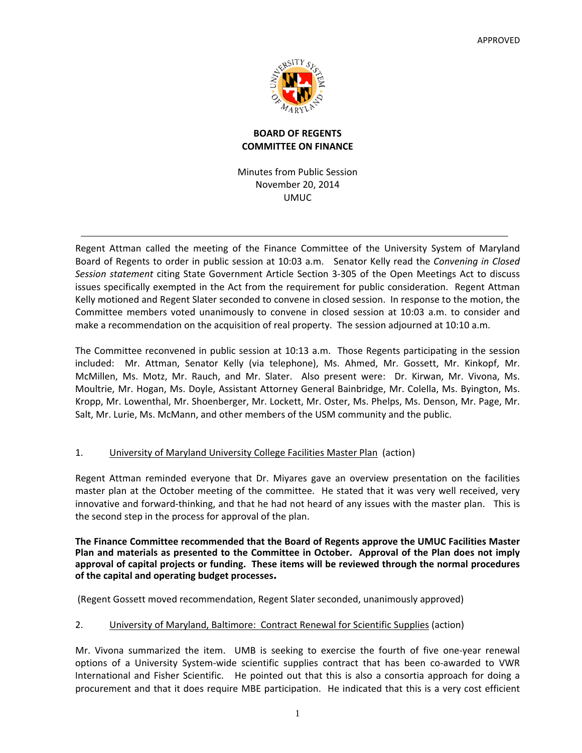

## **BOARD OF REGENTS COMMITTEE ON FINANCE**

Minutes from Public Session November 20, 2014 UMUC

Regent Attman called the meeting of the Finance Committee of the University System of Maryland Board of Regents to order in public session at 10:03 a.m. Senator Kelly read the *Convening in Closed Session statement* citing State Government Article Section 3‐305 of the Open Meetings Act to discuss issues specifically exempted in the Act from the requirement for public consideration. Regent Attman Kelly motioned and Regent Slater seconded to convene in closed session. In response to the motion, the Committee members voted unanimously to convene in closed session at 10:03 a.m. to consider and make a recommendation on the acquisition of real property. The session adjourned at 10:10 a.m.

The Committee reconvened in public session at 10:13 a.m. Those Regents participating in the session included: Mr. Attman, Senator Kelly (via telephone), Ms. Ahmed, Mr. Gossett, Mr. Kinkopf, Mr. McMillen, Ms. Motz, Mr. Rauch, and Mr. Slater. Also present were: Dr. Kirwan, Mr. Vivona, Ms. Moultrie, Mr. Hogan, Ms. Doyle, Assistant Attorney General Bainbridge, Mr. Colella, Ms. Byington, Ms. Kropp, Mr. Lowenthal, Mr. Shoenberger, Mr. Lockett, Mr. Oster, Ms. Phelps, Ms. Denson, Mr. Page, Mr. Salt, Mr. Lurie, Ms. McMann, and other members of the USM community and the public.

## 1. University of Maryland University College Facilities Master Plan (action)

Regent Attman reminded everyone that Dr. Miyares gave an overview presentation on the facilities master plan at the October meeting of the committee. He stated that it was very well received, very innovative and forward-thinking, and that he had not heard of any issues with the master plan. This is the second step in the process for approval of the plan.

**The Finance Committee recommended that the Board of Regents approve the UMUC Facilities Master Plan and materials as presented to the Committee in October. Approval of the Plan does not imply approval of capital projects or funding. These items will be reviewed through the normal procedures of the capital and operating budget processes.**

(Regent Gossett moved recommendation, Regent Slater seconded, unanimously approved)

# 2. University of Maryland, Baltimore: Contract Renewal for Scientific Supplies (action)

Mr. Vivona summarized the item. UMB is seeking to exercise the fourth of five one-year renewal options of a University System‐wide scientific supplies contract that has been co‐awarded to VWR International and Fisher Scientific. He pointed out that this is also a consortia approach for doing a procurement and that it does require MBE participation. He indicated that this is a very cost efficient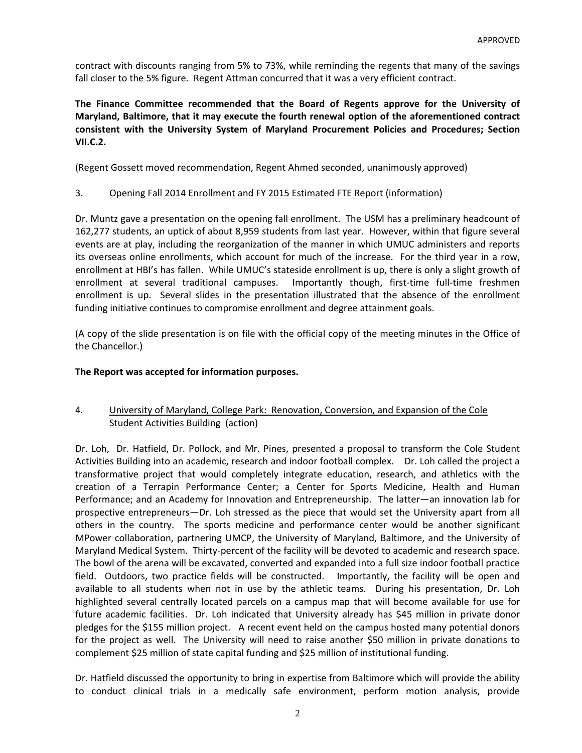contract with discounts ranging from 5% to 73%, while reminding the regents that many of the savings fall closer to the 5% figure. Regent Attman concurred that it was a very efficient contract.

**The Finance Committee recommended that the Board of Regents approve for the University of Maryland, Baltimore, that it may execute the fourth renewal option of the aforementioned contract consistent with the University System of Maryland Procurement Policies and Procedures; Section VII.C.2.**

(Regent Gossett moved recommendation, Regent Ahmed seconded, unanimously approved)

### 3. Opening Fall 2014 Enrollment and FY 2015 Estimated FTE Report (information)

Dr. Muntz gave a presentation on the opening fall enrollment. The USM has a preliminary headcount of 162,277 students, an uptick of about 8,959 students from last year. However, within that figure several events are at play, including the reorganization of the manner in which UMUC administers and reports its overseas online enrollments, which account for much of the increase. For the third year in a row, enrollment at HBI's has fallen. While UMUC's stateside enrollment is up, there is only a slight growth of enrollment at several traditional campuses. Importantly though, first-time full-time freshmen enrollment is up. Several slides in the presentation illustrated that the absence of the enrollment funding initiative continues to compromise enrollment and degree attainment goals.

(A copy of the slide presentation is on file with the official copy of the meeting minutes in the Office of the Chancellor.)

### **The Report was accepted for information purposes.**

## 4. University of Maryland, College Park: Renovation, Conversion, and Expansion of the Cole Student Activities Building (action)

Dr. Loh, Dr. Hatfield, Dr. Pollock, and Mr. Pines, presented a proposal to transform the Cole Student Activities Building into an academic, research and indoor football complex. Dr. Loh called the project a transformative project that would completely integrate education, research, and athletics with the creation of a Terrapin Performance Center; a Center for Sports Medicine, Health and Human Performance; and an Academy for Innovation and Entrepreneurship. The latter—an innovation lab for prospective entrepreneurs—Dr. Loh stressed as the piece that would set the University apart from all others in the country. The sports medicine and performance center would be another significant MPower collaboration, partnering UMCP, the University of Maryland, Baltimore, and the University of Maryland Medical System. Thirty‐percent of the facility will be devoted to academic and research space. The bowl of the arena will be excavated, converted and expanded into a full size indoor football practice field. Outdoors, two practice fields will be constructed. Importantly, the facility will be open and available to all students when not in use by the athletic teams. During his presentation, Dr. Loh highlighted several centrally located parcels on a campus map that will become available for use for future academic facilities. Dr. Loh indicated that University already has \$45 million in private donor pledges for the \$155 million project. A recent event held on the campus hosted many potential donors for the project as well. The University will need to raise another \$50 million in private donations to complement \$25 million of state capital funding and \$25 million of institutional funding.

Dr. Hatfield discussed the opportunity to bring in expertise from Baltimore which will provide the ability to conduct clinical trials in a medically safe environment, perform motion analysis, provide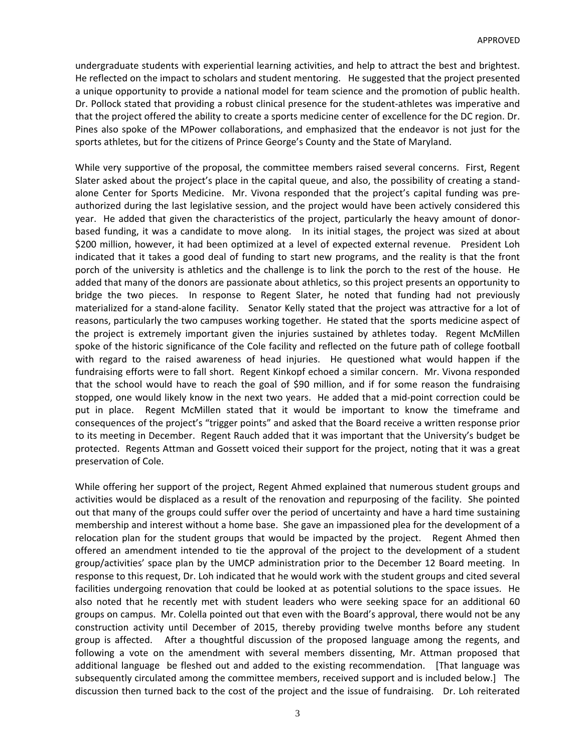undergraduate students with experiential learning activities, and help to attract the best and brightest. He reflected on the impact to scholars and student mentoring. He suggested that the project presented a unique opportunity to provide a national model for team science and the promotion of public health. Dr. Pollock stated that providing a robust clinical presence for the student‐athletes was imperative and that the project offered the ability to create a sports medicine center of excellence for the DC region. Dr. Pines also spoke of the MPower collaborations, and emphasized that the endeavor is not just for the sports athletes, but for the citizens of Prince George's County and the State of Maryland.

While very supportive of the proposal, the committee members raised several concerns. First, Regent Slater asked about the project's place in the capital queue, and also, the possibility of creating a stand‐ alone Center for Sports Medicine. Mr. Vivona responded that the project's capital funding was preauthorized during the last legislative session, and the project would have been actively considered this year. He added that given the characteristics of the project, particularly the heavy amount of donor‐ based funding, it was a candidate to move along. In its initial stages, the project was sized at about \$200 million, however, it had been optimized at a level of expected external revenue. President Loh indicated that it takes a good deal of funding to start new programs, and the reality is that the front porch of the university is athletics and the challenge is to link the porch to the rest of the house. He added that many of the donors are passionate about athletics, so this project presents an opportunity to bridge the two pieces. In response to Regent Slater, he noted that funding had not previously materialized for a stand‐alone facility. Senator Kelly stated that the project was attractive for a lot of reasons, particularly the two campuses working together. He stated that the sports medicine aspect of the project is extremely important given the injuries sustained by athletes today. Regent McMillen spoke of the historic significance of the Cole facility and reflected on the future path of college football with regard to the raised awareness of head injuries. He questioned what would happen if the fundraising efforts were to fall short. Regent Kinkopf echoed a similar concern. Mr. Vivona responded that the school would have to reach the goal of \$90 million, and if for some reason the fundraising stopped, one would likely know in the next two years. He added that a mid‐point correction could be put in place. Regent McMillen stated that it would be important to know the timeframe and consequences of the project's "trigger points" and asked that the Board receive a written response prior to its meeting in December. Regent Rauch added that it was important that the University's budget be protected. Regents Attman and Gossett voiced their support for the project, noting that it was a great preservation of Cole.

While offering her support of the project, Regent Ahmed explained that numerous student groups and activities would be displaced as a result of the renovation and repurposing of the facility. She pointed out that many of the groups could suffer over the period of uncertainty and have a hard time sustaining membership and interest without a home base. She gave an impassioned plea for the development of a relocation plan for the student groups that would be impacted by the project. Regent Ahmed then offered an amendment intended to tie the approval of the project to the development of a student group/activities' space plan by the UMCP administration prior to the December 12 Board meeting. In response to this request, Dr. Loh indicated that he would work with the student groups and cited several facilities undergoing renovation that could be looked at as potential solutions to the space issues. He also noted that he recently met with student leaders who were seeking space for an additional 60 groups on campus. Mr. Colella pointed out that even with the Board's approval, there would not be any construction activity until December of 2015, thereby providing twelve months before any student group is affected. After a thoughtful discussion of the proposed language among the regents, and following a vote on the amendment with several members dissenting, Mr. Attman proposed that additional language be fleshed out and added to the existing recommendation. [That language was subsequently circulated among the committee members, received support and is included below.] The discussion then turned back to the cost of the project and the issue of fundraising. Dr. Loh reiterated